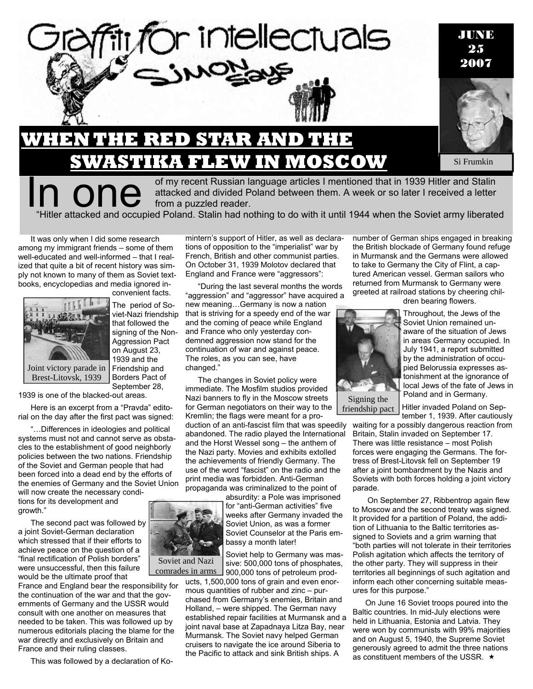

of my recent Russian language articles I mentioned that in 1939 Hitler and Stalin attacked and divided Poland between them. A week or so later I received a letter from a puzzled reader. "Hitler attacked and occupied Poland. Stalin had nothing to do with it until 1944 when the Soviet army liberated

It was only when I did some research among my immigrant friends – some of them well-educated and well-informed – that I realized that quite a bit of recent history was simply not known to many of them as Soviet textbooks, encyclopedias and media ignored in-



convenient facts.

The period of Soviet-Nazi friendship that followed the signing of the Non-Aggression Pact on August 23, 1939 and the Friendship and Borders Pact of September 28,

1939 is one of the blacked-out areas.

Here is an excerpt from a "Pravda" editorial on the day after the first pact was signed:

"…Differences in ideologies and political systems must not and cannot serve as obstacles to the establishment of good neighborly policies between the two nations. Friendship of the Soviet and German people that had been forced into a dead end by the efforts of the enemies of Germany and the Soviet Union

will now create the necessary conditions for its development and growth."

The second pact was followed by a joint Soviet-German declaration which stressed that if their efforts to achieve peace on the question of a "final rectification of Polish borders" were unsuccessful, then this failure would be the ultimate proof that

France and England bear the responsibility for the continuation of the war and that the governments of Germany and the USSR would consult with one another on measures that needed to be taken. This was followed up by numerous editorials placing the blame for the war directly and exclusively on Britain and France and their ruling classes.

This was followed by a declaration of Ko-

mintern's support of Hitler, as well as declarations of opposition to the "imperialist" war by French, British and other communist parties. On October 31, 1939 Molotov declared that England and France were "aggressors":

"During the last several months the words "aggression" and "aggressor" have acquired a

new meaning…Germany is now a nation that is striving for a speedy end of the war and the coming of peace while England and France who only yesterday condemned aggression now stand for the continuation of war and against peace. The roles, as you can see, have changed."

The changes in Soviet policy were immediate. The Mosfilm studios provided Nazi banners to fly in the Moscow streets for German negotiators on their way to the Kremlin; the flags were meant for a production of an anti-fascist film that was speedily abandoned. The radio played the International and the Horst Wessel song – the anthem of the Nazi party. Movies and exhibits extolled the achievements of friendly Germany. The use of the word "fascist" on the radio and the print media was forbidden. Anti-German propaganda was criminalized to the point of



Soviet Counselor at the Paris embassy a month later! Soviet help to Germany was mas-

sive: 500,000 tons of phosphates, 900,000 tons of petroleum products, 1,500,000 tons of grain and even enor-

mous quantities of rubber and zinc – purchased from Germany's enemies, Britain and Holland, – were shipped. The German navy established repair facilities at Murmansk and a joint naval base at Zapadnaya Litza Bay, near Murmansk. The Soviet navy helped German cruisers to navigate the ice around Siberia to the Pacific to attack and sink British ships. A

number of German ships engaged in breaking the British blockade of Germany found refuge in Murmansk and the Germans were allowed to take to Germany the City of Flint, a captured American vessel. German sailors who returned from Murmansk to Germany were greeted at railroad stations by cheering chil-





in areas Germany occupied. In July 1941, a report submitted by the administration of occupied Belorussia expresses astonishment at the ignorance of local Jews of the fate of Jews in Poland and in Germany.

Signing the friendship pact

Hitler invaded Poland on September 1, 1939. After cautiously

waiting for a possibly dangerous reaction from Britain, Stalin invaded on September 17. There was little resistance – most Polish forces were engaging the Germans. The fortress of Brest-Litovsk fell on September 19 after a joint bombardment by the Nazis and Soviets with both forces holding a joint victory parade.

 On September 27, Ribbentrop again flew to Moscow and the second treaty was signed. It provided for a partition of Poland, the addition of Lithuania to the Baltic territories assigned to Soviets and a grim warning that "both parties will not tolerate in their territories Polish agitation which affects the territory of the other party. They will suppress in their territories all beginnings of such agitation and inform each other concerning suitable measures for this purpose."

On June 16 Soviet troops poured into the Baltic countries. In mid-July elections were held in Lithuania, Estonia and Latvia. They were won by communists with 99% majorities and on August 5, 1940, the Supreme Soviet generously agreed to admit the three nations as constituent members of the USSR.  $\star$ 

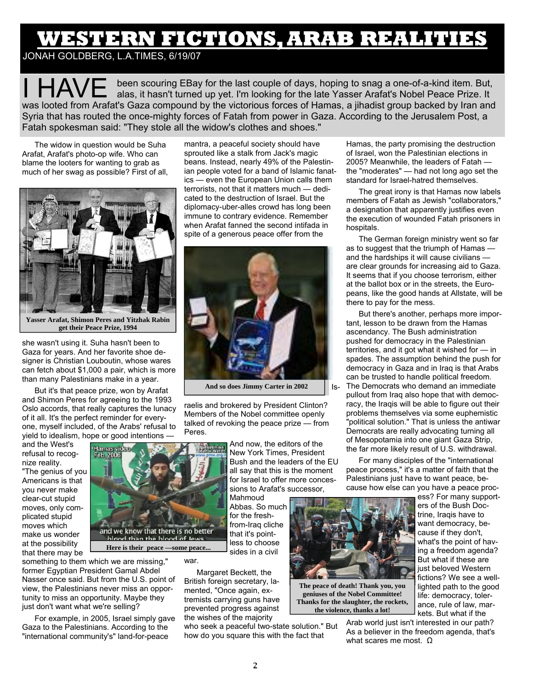# **WESTERN FICTIONS, ARAB REALITIES**

### JONAH GOLDBERG, L.A.TIMES, 6/19/07

been scouring EBay for the last couple of days, hoping to snag a one-of-a-kind item. But, alas, it hasn't turned up yet. I'm looking for the late Yasser Arafat's Nobel Peace Prize. It was looted from Arafat's Gaza compound by the victorious forces of Hamas, a jihadist group backed by Iran and Syria that has routed the once-mighty forces of Fatah from power in Gaza. According to the Jerusalem Post, a Fatah spokesman said: "They stole all the widow's clothes and shoes."

The widow in question would be Suha Arafat, Arafat's photo-op wife. Who can blame the looters for wanting to grab as much of her swag as possible? First of all,



**Yasser Arafat, Shimon Peres and Yitzhak Rabin get their Peace Prize, 1994** 

she wasn't using it. Suha hasn't been to Gaza for years. And her favorite shoe designer is Christian Louboutin, whose wares can fetch about \$1,000 a pair, which is more than many Palestinians make in a year.

But it's that peace prize, won by Arafat and Shimon Peres for agreeing to the 1993 Oslo accords, that really captures the lunacy of it all. It's the perfect reminder for everyone, myself included, of the Arabs' refusal to yield to idealism, hope or good intentions —

and the West's refusal to recognize reality.

"The genius of you Americans is that you never make clear-cut stupid moves, only complicated stupid moves which make us wonder at the possibility that there may be



**Here is their peace —some peace...** 

something to them which we are missing," former Egyptian President Gamal Abdel Nasser once said. But from the U.S. point of view, the Palestinians never miss an opportunity to miss an opportunity. Maybe they just don't want what we're selling?

For example, in 2005, Israel simply gave Gaza to the Palestinians. According to the "international community's" land-for-peace

mantra, a peaceful society should have sprouted like a stalk from Jack's magic beans. Instead, nearly 49% of the Palestinian people voted for a band of Islamic fanatics — even the European Union calls them terrorists, not that it matters much — dedicated to the destruction of Israel. But the diplomacy-uber-alles crowd has long been immune to contrary evidence. Remember when Arafat fanned the second intifada in spite of a generous peace offer from the



**And so does Jimmy Carter in 2002** 

raelis and brokered by President Clinton? Members of the Nobel committee openly talked of revoking the peace prize — from Peres.

> And now, the editors of the New York Times, President Bush and the leaders of the EU all say that this is the moment for Israel to offer more concessions to Arafat's successor,

Mahmoud Abbas. So much for the freshfrom-Iraq cliche that it's pointless to choose sides in a civil

war.

Margaret Beckett, the British foreign secretary, lamented, "Once again, extremists carrying guns have prevented progress against the wishes of the majority

who seek a peaceful two-state solution." But how do you square this with the fact that

Hamas, the party promising the destruction of Israel, won the Palestinian elections in 2005? Meanwhile, the leaders of Fatah the "moderates" — had not long ago set the standard for Israel-hatred themselves.

The great irony is that Hamas now labels members of Fatah as Jewish "collaborators," a designation that apparently justifies even the execution of wounded Fatah prisoners in hospitals.

The German foreign ministry went so far as to suggest that the triumph of Hamas and the hardships it will cause civilians are clear grounds for increasing aid to Gaza. It seems that if you choose terrorism, either at the ballot box or in the streets, the Europeans, like the good hands at Allstate, will be there to pay for the mess.

But there's another, perhaps more important, lesson to be drawn from the Hamas ascendancy. The Bush administration pushed for democracy in the Palestinian territories, and it got what it wished for — in spades. The assumption behind the push for democracy in Gaza and in Iraq is that Arabs can be trusted to handle political freedom. The Democrats who demand an immediate pullout from Iraq also hope that with democracy, the Iraqis will be able to figure out their problems themselves via some euphemistic "political solution." That is unless the antiwar Democrats are really advocating turning all of Mesopotamia into one giant Gaza Strip, the far more likely result of U.S. withdrawal.

For many disciples of the "international peace process," it's a matter of faith that the Palestinians just have to want peace, because how else can you have a peace proc-

> ess? For many supporters of the Bush Doctrine, Iraqis have to want democracy, because if they don't, what's the point of having a freedom agenda? But what if these are just beloved Western fictions? We see a welllighted path to the good



**The peace of death! Thank you, you geniuses of the Nobel Committee! Thanks for the slaughter, the rockets, the violence, thanks a lot!** 

life: democracy, tolerance, rule of law, markets. But what if the Arab world just isn't interested in our path? As a believer in the freedom agenda, that's what scares me most. Ω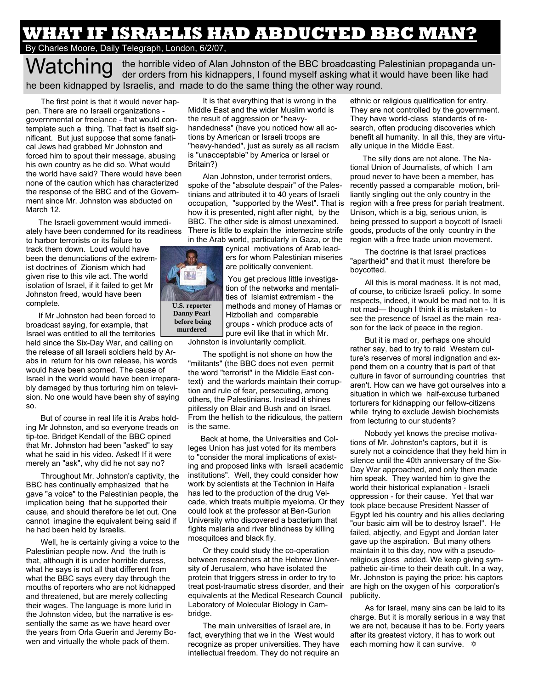## **WHAT IF ISRAELIS HAD ABDUCTED BBC MAN?**

#### By Charles Moore, Daily Telegraph, London, 6/2/07,

**Watching** the horrible video of Alan Johnston of the BBC broadcasting Palestinian propaganda un-<br>Watching the had der orders from his kidnappers, I found myself asking what it would have been like had he been kidnapped by Israelis, and made to do the same thing the other way round.

 The first point is that it would never happen. There are no Israeli organizations governmental or freelance - that would contemplate such a thing. That fact is itself significant. But just suppose that some fanatical Jews had grabbed Mr Johnston and forced him to spout their message, abusing his own country as he did so. What would the world have said? There would have been none of the caution which has characterized the response of the BBC and of the Government since Mr. Johnston was abducted on March 12.

The Israeli government would immediately have been condemned for its readiness

to harbor terrorists or its failure to track them down. Loud would have been the denunciations of the extremist doctrines of Zionism which had given rise to this vile act. The world isolation of Israel, if it failed to get Mr Johnston freed, would have been complete.

If Mr Johnston had been forced to broadcast saying, for example, that Israel was entitled to all the territories

held since the Six-Day War, and calling on the release of all Israeli soldiers held by Arabs in return for his own release, his words would have been scorned. The cause of Israel in the world would have been irreparably damaged by thus torturing him on television. No one would have been shy of saying so.

 But of course in real life it is Arabs holding Mr Johnston, and so everyone treads on tip-toe. Bridget Kendall of the BBC opined that Mr. Johnston had been "asked" to say what he said in his video. Asked! If it were merely an "ask", why did he not say no?

 Throughout Mr. Johnston's captivity, the BBC has continually emphasized that he gave "a voice" to the Palestinian people, the implication being that he supported their cause, and should therefore be let out. One cannot imagine the equivalent being said if he had been held by Israelis.

 Well, he is certainly giving a voice to the Palestinian people now. And the truth is that, although it is under horrible duress, what he says is not all that different from what the BBC says every day through the mouths of reporters who are not kidnapped and threatened, but are merely collecting their wages. The language is more lurid in the Johnston video, but the narrative is essentially the same as we have heard over the years from Orla Guerin and Jeremy Bowen and virtually the whole pack of them.

 It is that everything that is wrong in the Middle East and the wider Muslim world is the result of aggression or "heavyhandedness" (have you noticed how all actions by American or Israeli troops are "heavy-handed", just as surely as all racism is "unacceptable" by America or Israel or Britain?)

 Alan Johnston, under terrorist orders, spoke of the "absolute despair" of the Palestinians and attributed it to 40 years of Israeli occupation, "supported by the West". That is region with a free press for pariah treatment. how it is presented, night after night, by the BBC. The other side is almost unexamined. There is little to explain the internecine strife in the Arab world, particularly in Gaza, or the

> cynical motivations of Arab leaders for whom Palestinian miseries are politically convenient.

 You get precious little investigation of the networks and mentalities of Islamist extremism - the methods and money of Hamas or Hizbollah and comparable groups - which produce acts of pure evil like that in which Mr. Johnston is involuntarily complicit.

 The spotlight is not shone on how the "militants" (the BBC does not even permit the word "terrorist" in the Middle East context) and the warlords maintain their corruption and rule of fear, persecuting, among others, the Palestinians. Instead it shines pitilessly on Blair and Bush and on Israel. From the hellish to the ridiculous, the pattern is the same.

Back at home, the Universities and Colleges Union has just voted for its members to "consider the moral implications of existing and proposed links with Israeli academic institutions". Well, they could consider how work by scientists at the Technion in Haifa has led to the production of the drug Velcade, which treats multiple myeloma. Or they could look at the professor at Ben-Gurion University who discovered a bacterium that fights malaria and river blindness by killing mosquitoes and black fly.

 Or they could study the co-operation between researchers at the Hebrew University of Jerusalem, who have isolated the protein that triggers stress in order to try to treat post-traumatic stress disorder, and their equivalents at the Medical Research Council Laboratory of Molecular Biology in Cambridge.

 The main universities of Israel are, in fact, everything that we in the West would recognize as proper universities. They have intellectual freedom. They do not require an

ethnic or religious qualification for entry. They are not controlled by the government. They have world-class standards of research, often producing discoveries which benefit all humanity. In all this, they are virtually unique in the Middle East.

The silly dons are not alone. The National Union of Journalists, of which I am proud never to have been a member, has recently passed a comparable motion, brilliantly singling out the only country in the Unison, which is a big, serious union, is being pressed to support a boycott of Israeli goods, products of the only country in the region with a free trade union movement.

 The doctrine is that Israel practices "apartheid" and that it must therefore be boycotted.

 All this is moral madness. It is not mad, of course, to criticize Israeli policy. In some respects, indeed, it would be mad not to. It is not mad— though I think it is mistaken - to see the presence of Israel as the main reason for the lack of peace in the region.

 But it is mad or, perhaps one should rather say, bad to try to raid Western culture's reserves of moral indignation and expend them on a country that is part of that culture in favor of surrounding countries that aren't. How can we have got ourselves into a situation in which we half-excuse turbaned torturers for kidnapping our fellow-citizens while trying to exclude Jewish biochemists from lecturing to our students?

 Nobody yet knows the precise motivations of Mr. Johnston's captors, but it is surely not a coincidence that they held him in silence until the 40th anniversary of the Six-Day War approached, and only then made him speak. They wanted him to give the world their historical explanation - Israeli oppression - for their cause. Yet that war took place because President Nasser of Egypt led his country and his allies declaring "our basic aim will be to destroy Israel". He failed, abjectly, and Egypt and Jordan later gave up the aspiration. But many others maintain it to this day, now with a pseudoreligious gloss added. We keep giving sympathetic air-time to their death cult. In a way, Mr. Johnston is paying the price: his captors are high on the oxygen of his corporation's publicity.

 As for Israel, many sins can be laid to its charge. But it is morally serious in a way that we are not, because it has to be. Forty years after its greatest victory, it has to work out each morning how it can survive.  $\ast$ 

**U.S. reporter Danny Pearl before being murdered**